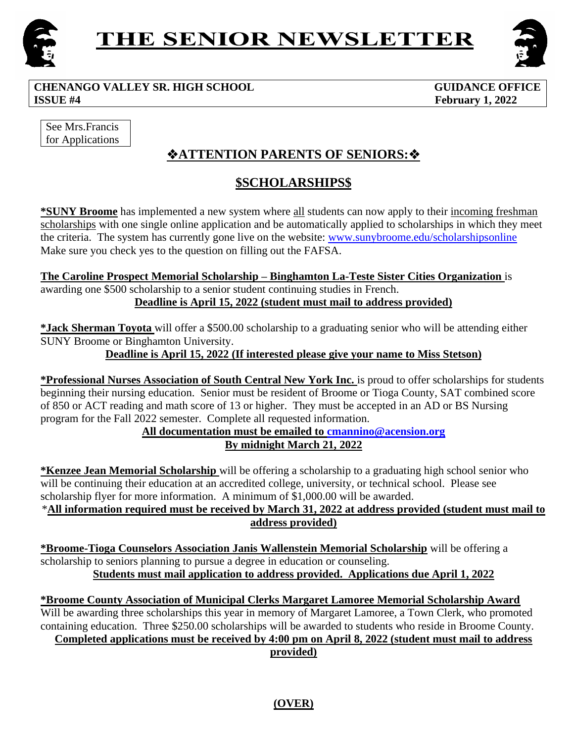



## **CHENANGO VALLEY SR. HIGH SCHOOL ISSUE #4**

 **GUIDANCE OFFICE February 1, 2022**

See Mrs.Francis for Applications

## ❖**ATTENTION PARENTS OF SENIORS:**❖

## **\$SCHOLARSHIPS\$**

**\*SUNY Broome** has implemented a new system where all students can now apply to their incoming freshman scholarships with one single online application and be automatically applied to scholarships in which they meet the criteria. The system has currently gone live on the website: [www.sunybroome.edu/scholarshipsonline](http://www.sunybroome.edu/scholarshipsonline)  Make sure you check yes to the question on filling out the FAFSA.

**The Caroline Prospect Memorial Scholarship – Binghamton La-Teste Sister Cities Organization** is awarding one \$500 scholarship to a senior student continuing studies in French. **Deadline is April 15, 2022 (student must mail to address provided)** 

**\*Jack Sherman Toyota** will offer a \$500.00 scholarship to a graduating senior who will be attending either SUNY Broome or Binghamton University.

**Deadline is April 15, 2022 (If interested please give your name to Miss Stetson)** 

**\*Professional Nurses Association of South Central New York Inc.** is proud to offer scholarships for students beginning their nursing education. Senior must be resident of Broome or Tioga County, SAT combined score of 850 or ACT reading and math score of 13 or higher. They must be accepted in an AD or BS Nursing program for the Fall 2022 semester. Complete all requested information.

**All documentation must be emailed to [cmannino@acension.org](mailto:cmannino@acension.org)  By midnight March 21, 2022**

**\*Kenzee Jean Memorial Scholarship** will be offering a scholarship to a graduating high school senior who will be continuing their education at an accredited college, university, or technical school. Please see scholarship flyer for more information. A minimum of \$1,000.00 will be awarded.

## \***All information required must be received by March 31, 2022 at address provided (student must mail to address provided)**

**\*Broome-Tioga Counselors Association Janis Wallenstein Memorial Scholarship** will be offering a scholarship to seniors planning to pursue a degree in education or counseling. **Students must mail application to address provided. Applications due April 1, 2022** 

**\*Broome County Association of Municipal Clerks Margaret Lamoree Memorial Scholarship Award**  Will be awarding three scholarships this year in memory of Margaret Lamoree, a Town Clerk, who promoted containing education. Three \$250.00 scholarships will be awarded to students who reside in Broome County. **Completed applications must be received by 4:00 pm on April 8, 2022 (student must mail to address provided)**

**(OVER)**